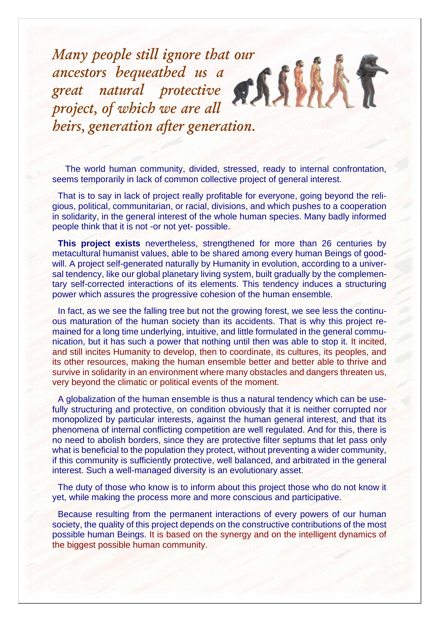*Many people still ignore that our ancestors bequeathed us a great natural protective project, of which we are all heirs, generation after generation.*

 The world human community, divided, stressed, ready to internal confrontation, seems temporarily in lack of common collective project of general interest.

That is to say in lack of project really profitable for everyone, going beyond the religious, political, communitarian, or racial, divisions, and which pushes to a cooperation in solidarity, in the general interest of the whole human species. Many badly informed people think that it is not -or not yet- possible.

**This project exists** nevertheless, strengthened for more than 26 centuries by metacultural humanist values, able to be shared among every human Beings of goodwill. A project self-generated naturally by Humanity in evolution, according to a universal tendency, like our global planetary living system, built gradually by the complementary self-corrected interactions of its elements. This tendency induces a structuring power which assures the progressive cohesion of the human ensemble.

In fact, as we see the falling tree but not the growing forest, we see less the continuous maturation of the human society than its accidents. That is why this project remained for a long time underlying, intuitive, and little formulated in the general communication, but it has such a power that nothing until then was able to stop it. It incited, and still incites Humanity to develop, then to coordinate, its cultures, its peoples, and its other resources, making the human ensemble better and better able to thrive and survive in solidarity in an environment where many obstacles and dangers threaten us, very beyond the climatic or political events of the moment.

A globalization of the human ensemble is thus a natural tendency which can be usefully structuring and protective, on condition obviously that it is neither corrupted nor monopolized by particular interests, against the human general interest, and that its phenomena of internal conflicting competition are well regulated. And for this, there is no need to abolish borders, since they are protective filter septums that let pass only what is beneficial to the population they protect, without preventing a wider community, if this community is sufficiently protective, well balanced, and arbitrated in the general interest. Such a well-managed diversity is an evolutionary asset.

The duty of those who know is to inform about this project those who do not know it yet, while making the process more and more conscious and participative.

Because resulting from the permanent interactions of every powers of our human society, the quality of this project depends on the constructive contributions of the most possible human Beings. It is based on the synergy and on the intelligent dynamics of the biggest possible human community.